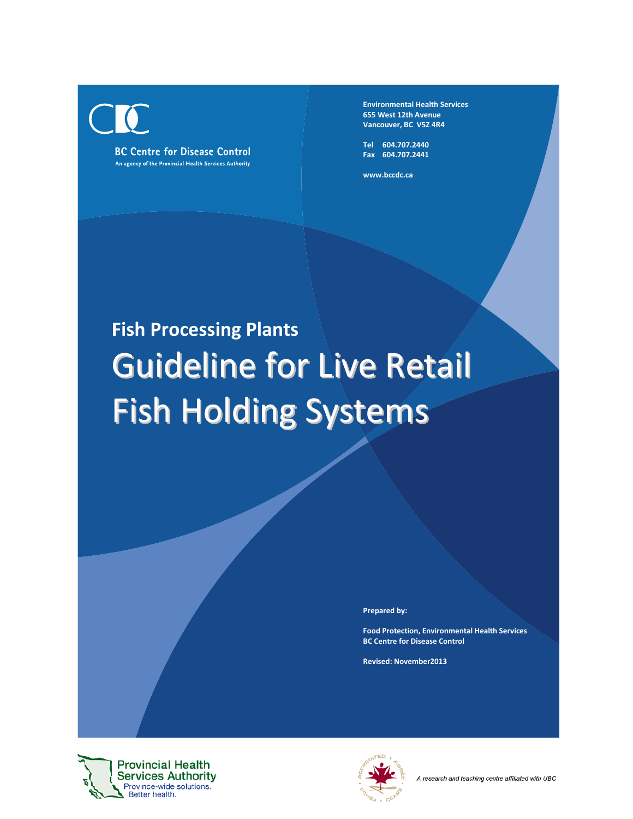

**BC Centre for Disease Control** An agency of the Provincial Health Services Authority **Environmental Health Services 655 West 12th Avenue Vancouver, BC V5Z 4R4**

**Tel 604.707.2440 Fax 604.707.2441**

**www.bccdc.ca**

# **Fish Processing Plants** Guideline for Live Retail Fish Holding Systems

**Prepared by:**

**Food Protection, Environmental Health Services BC Centre for Disease Control**

**Revised: November2013**



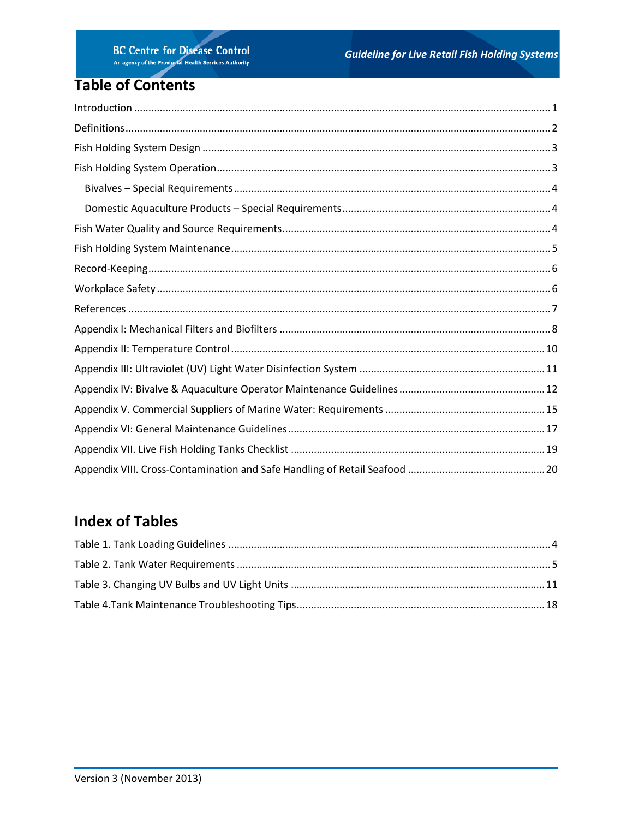# **Table of Contents**

# **Index of Tables**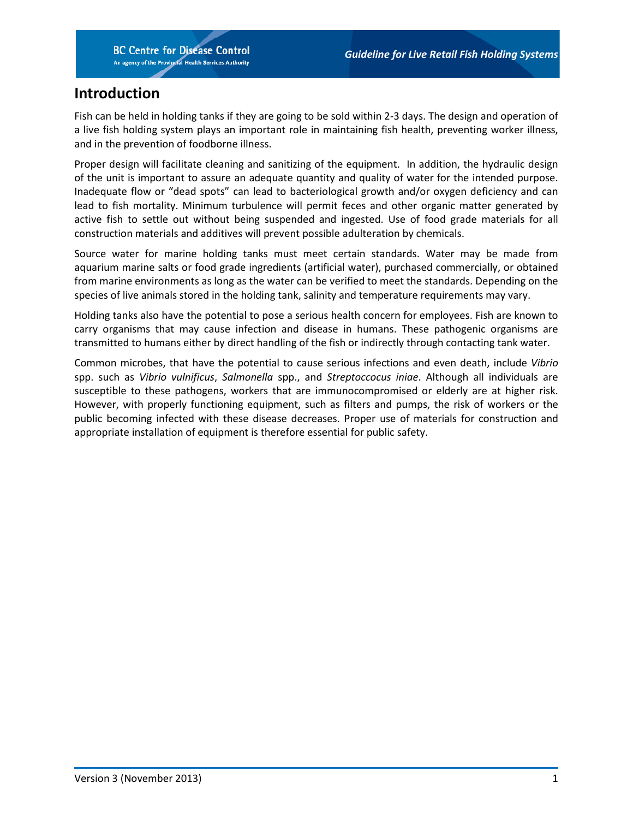## <span id="page-2-0"></span>**Introduction**

Fish can be held in holding tanks if they are going to be sold within 2-3 days. The design and operation of a live fish holding system plays an important role in maintaining fish health, preventing worker illness, and in the prevention of foodborne illness.

Proper design will facilitate cleaning and sanitizing of the equipment. In addition, the hydraulic design of the unit is important to assure an adequate quantity and quality of water for the intended purpose. Inadequate flow or "dead spots" can lead to bacteriological growth and/or oxygen deficiency and can lead to fish mortality. Minimum turbulence will permit feces and other organic matter generated by active fish to settle out without being suspended and ingested. Use of food grade materials for all construction materials and additives will prevent possible adulteration by chemicals.

Source water for marine holding tanks must meet certain standards. Water may be made from aquarium marine salts or food grade ingredients (artificial water), purchased commercially, or obtained from marine environments as long as the water can be verified to meet the standards. Depending on the species of live animals stored in the holding tank, salinity and temperature requirements may vary.

Holding tanks also have the potential to pose a serious health concern for employees. Fish are known to carry organisms that may cause infection and disease in humans. These pathogenic organisms are transmitted to humans either by direct handling of the fish or indirectly through contacting tank water.

Common microbes, that have the potential to cause serious infections and even death, include *Vibrio* spp. such as *Vibrio vulnificus*, *Salmonella* spp., and *Streptoccocus iniae*. Although all individuals are susceptible to these pathogens, workers that are immunocompromised or elderly are at higher risk. However, with properly functioning equipment, such as filters and pumps, the risk of workers or the public becoming infected with these disease decreases. Proper use of materials for construction and appropriate installation of equipment is therefore essential for public safety.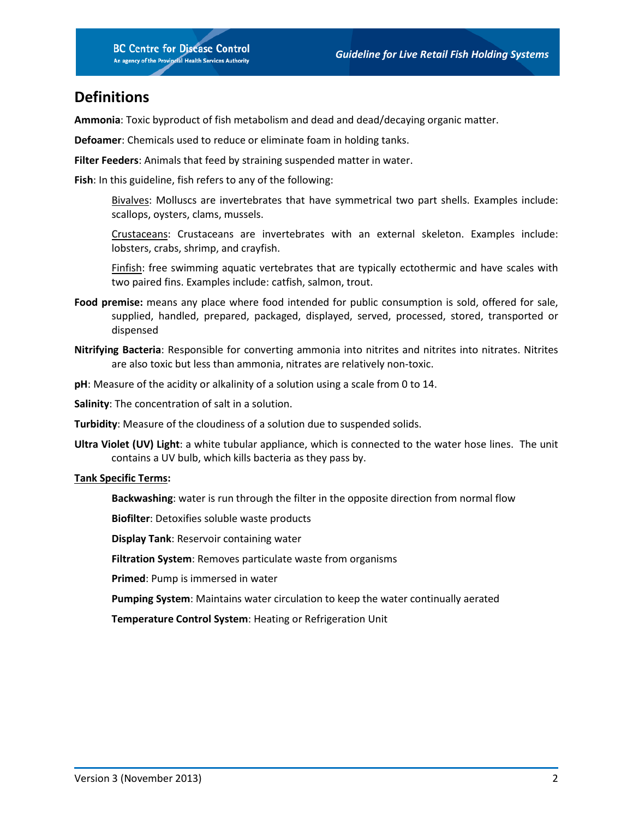## <span id="page-3-0"></span>**Definitions**

**Ammonia**: Toxic byproduct of fish metabolism and dead and dead/decaying organic matter.

**Defoamer**: Chemicals used to reduce or eliminate foam in holding tanks.

**Filter Feeders**: Animals that feed by straining suspended matter in water.

**Fish**: In this guideline, fish refers to any of the following:

Bivalves: Molluscs are invertebrates that have symmetrical two part shells. Examples include: scallops, oysters, clams, mussels.

Crustaceans: Crustaceans are invertebrates with an external skeleton. Examples include: lobsters, crabs, shrimp, and crayfish.

Finfish: free swimming aquatic vertebrates that are typically ectothermic and have scales with two paired fins. Examples include: catfish, salmon, trout.

- **Food premise:** means any place where food intended for public consumption is sold, offered for sale, supplied, handled, prepared, packaged, displayed, served, processed, stored, transported or dispensed
- **Nitrifying Bacteria**: Responsible for converting ammonia into nitrites and nitrites into nitrates. Nitrites are also toxic but less than ammonia, nitrates are relatively non-toxic.
- **pH**: Measure of the acidity or alkalinity of a solution using a scale from 0 to 14.

**Salinity**: The concentration of salt in a solution.

- **Turbidity**: Measure of the cloudiness of a solution due to suspended solids.
- **Ultra Violet (UV) Light**: a white tubular appliance, which is connected to the water hose lines. The unit contains a UV bulb, which kills bacteria as they pass by.

#### **Tank Specific Terms:**

**Backwashing**: water is run through the filter in the opposite direction from normal flow

**Biofilter**: Detoxifies soluble waste products

**Display Tank**: Reservoir containing water

**Filtration System**: Removes particulate waste from organisms

**Primed**: Pump is immersed in water

**Pumping System**: Maintains water circulation to keep the water continually aerated

**Temperature Control System**: Heating or Refrigeration Unit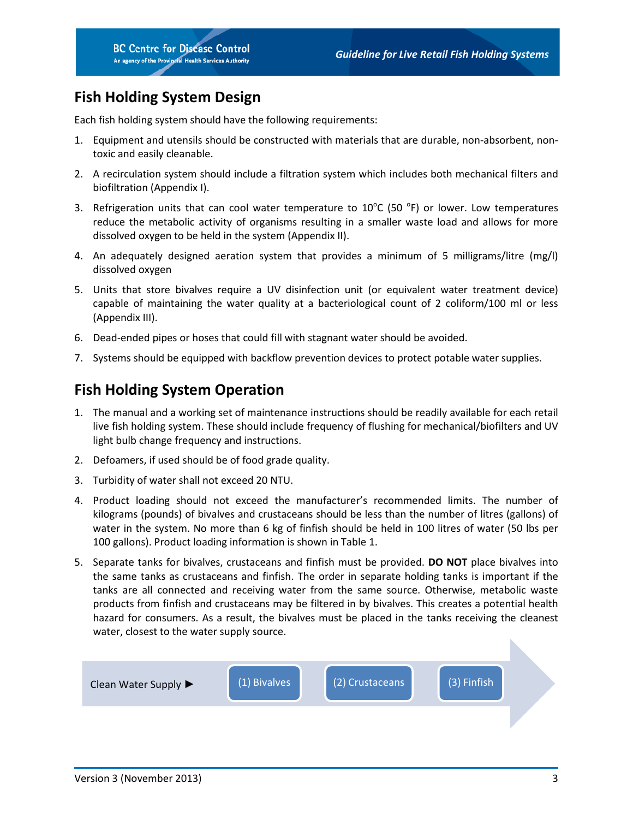# <span id="page-4-0"></span>**Fish Holding System Design**

Each fish holding system should have the following requirements:

- 1. Equipment and utensils should be constructed with materials that are durable, non-absorbent, nontoxic and easily cleanable.
- 2. A recirculation system should include a filtration system which includes both mechanical filters and biofiltration (Appendix I).
- 3. Refrigeration units that can cool water temperature to  $10^{\circ}$ C (50  $^{\circ}$ F) or lower. Low temperatures reduce the metabolic activity of organisms resulting in a smaller waste load and allows for more dissolved oxygen to be held in the system (Appendix II).
- 4. An adequately designed aeration system that provides a minimum of 5 milligrams/litre (mg/l) dissolved oxygen
- 5. Units that store bivalves require a UV disinfection unit (or equivalent water treatment device) capable of maintaining the water quality at a bacteriological count of 2 coliform/100 ml or less (Appendix III).
- 6. Dead-ended pipes or hoses that could fill with stagnant water should be avoided.
- 7. Systems should be equipped with backflow prevention devices to protect potable water supplies.

## <span id="page-4-1"></span>**Fish Holding System Operation**

- 1. The manual and a working set of maintenance instructions should be readily available for each retail live fish holding system. These should include frequency of flushing for mechanical/biofilters and UV light bulb change frequency and instructions.
- 2. Defoamers, if used should be of food grade quality.
- 3. Turbidity of water shall not exceed 20 NTU.
- 4. Product loading should not exceed the manufacturer's recommended limits. The number of kilograms (pounds) of bivalves and crustaceans should be less than the number of litres (gallons) of water in the system. No more than 6 kg of finfish should be held in 100 litres of water (50 lbs per 100 gallons). Product loading information is shown in Table 1.
- 5. Separate tanks for bivalves, crustaceans and finfish must be provided. **DO NOT** place bivalves into the same tanks as crustaceans and finfish. The order in separate holding tanks is important if the tanks are all connected and receiving water from the same source. Otherwise, metabolic waste products from finfish and crustaceans may be filtered in by bivalves. This creates a potential health hazard for consumers. As a result, the bivalves must be placed in the tanks receiving the cleanest water, closest to the water supply source.

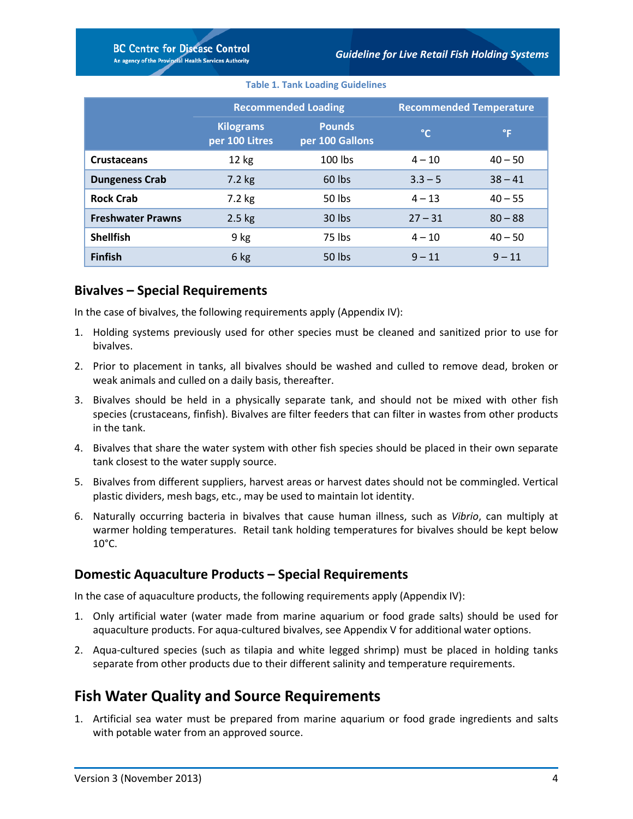#### **Table 1. Tank Loading Guidelines**

<span id="page-5-3"></span>

|                          |                                    | <b>Recommended Loading</b>       |              | <b>Recommended Temperature</b> |
|--------------------------|------------------------------------|----------------------------------|--------------|--------------------------------|
|                          | <b>Kilograms</b><br>per 100 Litres | <b>Pounds</b><br>per 100 Gallons | $^{\circ}$ C | °F                             |
| <b>Crustaceans</b>       | 12 kg                              | $100$ lbs                        | $4 - 10$     | $40 - 50$                      |
| <b>Dungeness Crab</b>    | 7.2 kg                             | 60 lbs                           | $3.3 - 5$    | $38 - 41$                      |
| <b>Rock Crab</b>         | 7.2 kg                             | 50 lbs                           | $4 - 13$     | $40 - 55$                      |
| <b>Freshwater Prawns</b> | $2.5$ kg                           | 30 lbs                           | $27 - 31$    | $80 - 88$                      |
| <b>Shellfish</b>         | 9 kg                               | 75 lbs                           | $4 - 10$     | $40 - 50$                      |
| <b>Finfish</b>           | 6 kg                               | 50 lbs                           | $9 - 11$     | $9 - 11$                       |

#### <span id="page-5-0"></span>**Bivalves – Special Requirements**

In the case of bivalves, the following requirements apply (Appendix IV):

- 1. Holding systems previously used for other species must be cleaned and sanitized prior to use for bivalves.
- 2. Prior to placement in tanks, all bivalves should be washed and culled to remove dead, broken or weak animals and culled on a daily basis, thereafter.
- 3. Bivalves should be held in a physically separate tank, and should not be mixed with other fish species (crustaceans, finfish). Bivalves are filter feeders that can filter in wastes from other products in the tank.
- 4. Bivalves that share the water system with other fish species should be placed in their own separate tank closest to the water supply source.
- 5. Bivalves from different suppliers, harvest areas or harvest dates should not be commingled. Vertical plastic dividers, mesh bags, etc., may be used to maintain lot identity.
- 6. Naturally occurring bacteria in bivalves that cause human illness, such as *Vibrio*, can multiply at warmer holding temperatures. Retail tank holding temperatures for bivalves should be kept below  $10^{\circ}$ C.

## <span id="page-5-1"></span>**Domestic Aquaculture Products – Special Requirements**

In the case of aquaculture products, the following requirements apply (Appendix IV):

- 1. Only artificial water (water made from marine aquarium or food grade salts) should be used for aquaculture products. For aqua-cultured bivalves, see Appendix V for additional water options.
- 2. Aqua-cultured species (such as tilapia and white legged shrimp) must be placed in holding tanks separate from other products due to their different salinity and temperature requirements.

## <span id="page-5-2"></span>**Fish Water Quality and Source Requirements**

1. Artificial sea water must be prepared from marine aquarium or food grade ingredients and salts with potable water from an approved source.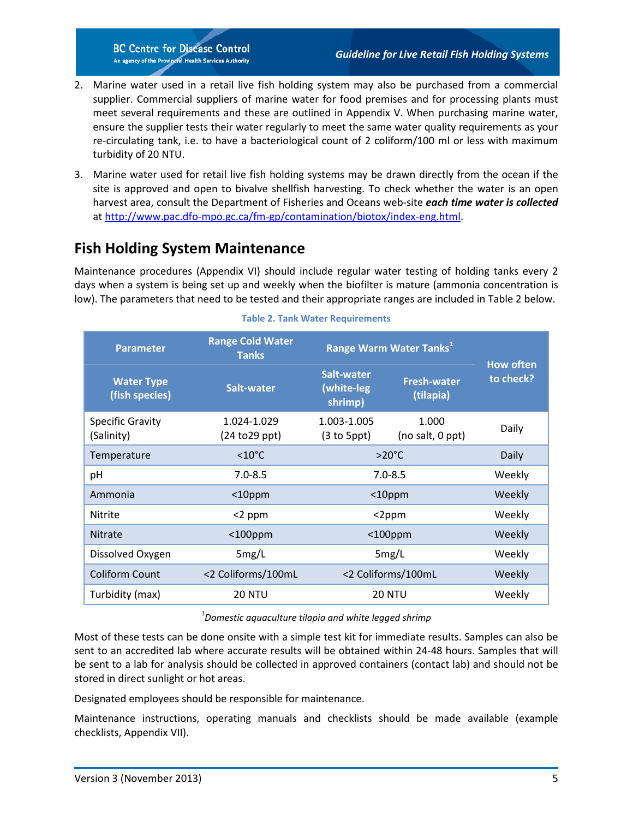- 2. Marine water used in a retail live fish holding system may also be purchased from a commercial supplier. Commercial suppliers of marine water for food premises and for processing plants must meet several requirements and these are outlined in Appendix V. When purchasing marine water, ensure the supplier tests their water regularly to meet the same water quality requirements as your re-circulating tank, i.e. to have a bacteriological count of 2 coliform/100 ml or less with maximum turbidity of 20 NTU.
- 3. Marine water used for retail live fish holding systems may be drawn directly from the ocean if the site is approved and open to bivalve shellfish harvesting. To check whether the water is an open harvest area, consult the Department of Fisheries and Oceans web-site *each time water is collected*  at [http://www.pac.dfo-mpo.gc.ca/fm-gp/contamination/biotox/index-eng.html.](http://www.pac.dfo-mpo.gc.ca/fm-gp/contamination/biotox/index-eng.html)

# <span id="page-6-0"></span>**Fish Holding System Maintenance**

Maintenance procedures (Appendix VI) should include regular water testing of holding tanks every 2 days when a system is being set up and weekly when the biofilter is mature (ammonia concentration is low). The parameters that need to be tested and their appropriate ranges are included in Table 2 below.

<span id="page-6-1"></span>

| <b>Parameter</b>                      | <b>Range Cold Water</b><br>Range Warm Water Tanks <sup>1</sup><br><b>Tanks</b> |                                                                        |               |                               |
|---------------------------------------|--------------------------------------------------------------------------------|------------------------------------------------------------------------|---------------|-------------------------------|
| <b>Water Type</b><br>(fish species)   | Salt-water                                                                     | Salt-water<br><b>Fresh-water</b><br>(white-leg<br>(tilapia)<br>shrimp) |               | <b>How often</b><br>to check? |
| <b>Specific Gravity</b><br>(Salinity) | 1.024-1.029<br>(24 to 29 ppt)                                                  | 1.003-1.005<br>1.000<br>$(3 to 5$ ppt $)$<br>(no salt, 0 ppt)          |               | Daily                         |
| Temperature                           | $<10^{\circ}$ C                                                                | $>20^{\circ}$ C                                                        |               | Daily                         |
| pH                                    | $7.0 - 8.5$                                                                    | $7.0 - 8.5$                                                            |               | Weekly                        |
| Ammonia                               | $10$ ppm                                                                       | $10$ ppm                                                               |               | Weekly                        |
| Nitrite                               | $<$ 2 ppm                                                                      | $<$ 2ppm                                                               |               | Weekly                        |
| <b>Nitrate</b>                        | $<$ 100ppm                                                                     | $<$ 100ppm                                                             |               | Weekly                        |
| Dissolved Oxygen                      | 5mg/L                                                                          | 5mg/L                                                                  |               | Weekly                        |
| <b>Coliform Count</b>                 | <2 Coliforms/100mL                                                             | <2 Coliforms/100mL                                                     |               | Weekly                        |
| Turbidity (max)                       | <b>20 NTU</b>                                                                  |                                                                        | <b>20 NTU</b> | Weekly                        |

#### **Table 2. Tank Water Requirements**

#### *1 Domestic aquaculture tilapia and white legged shrimp*

Most of these tests can be done onsite with a simple test kit for immediate results. Samples can also be sent to an accredited lab where accurate results will be obtained within 24-48 hours. Samples that will be sent to a lab for analysis should be collected in approved containers (contact lab) and should not be stored in direct sunlight or hot areas.

Designated employees should be responsible for maintenance.

Maintenance instructions, operating manuals and checklists should be made available (example checklists, Appendix VII).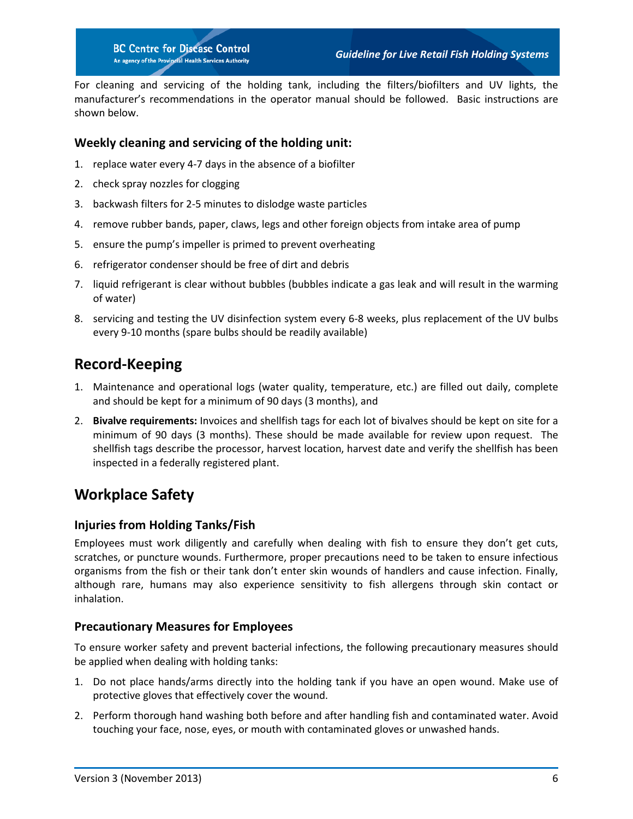For cleaning and servicing of the holding tank, including the filters/biofilters and UV lights, the manufacturer's recommendations in the operator manual should be followed. Basic instructions are shown below.

#### **Weekly cleaning and servicing of the holding unit:**

- 1. replace water every 4-7 days in the absence of a biofilter
- 2. check spray nozzles for clogging
- 3. backwash filters for 2-5 minutes to dislodge waste particles
- 4. remove rubber bands, paper, claws, legs and other foreign objects from intake area of pump
- 5. ensure the pump's impeller is primed to prevent overheating
- 6. refrigerator condenser should be free of dirt and debris
- 7. liquid refrigerant is clear without bubbles (bubbles indicate a gas leak and will result in the warming of water)
- 8. servicing and testing the UV disinfection system every 6-8 weeks, plus replacement of the UV bulbs every 9-10 months (spare bulbs should be readily available)

## <span id="page-7-0"></span>**Record-Keeping**

- 1. Maintenance and operational logs (water quality, temperature, etc.) are filled out daily, complete and should be kept for a minimum of 90 days (3 months), and
- 2. **Bivalve requirements:** Invoices and shellfish tags for each lot of bivalves should be kept on site for a minimum of 90 days (3 months). These should be made available for review upon request. The shellfish tags describe the processor, harvest location, harvest date and verify the shellfish has been inspected in a federally registered plant.

## <span id="page-7-1"></span>**Workplace Safety**

#### **Injuries from Holding Tanks/Fish**

Employees must work diligently and carefully when dealing with fish to ensure they don't get cuts, scratches, or puncture wounds. Furthermore, proper precautions need to be taken to ensure infectious organisms from the fish or their tank don't enter skin wounds of handlers and cause infection. Finally, although rare, humans may also experience sensitivity to fish allergens through skin contact or inhalation.

#### **Precautionary Measures for Employees**

To ensure worker safety and prevent bacterial infections, the following precautionary measures should be applied when dealing with holding tanks:

- 1. Do not place hands/arms directly into the holding tank if you have an open wound. Make use of protective gloves that effectively cover the wound.
- 2. Perform thorough hand washing both before and after handling fish and contaminated water. Avoid touching your face, nose, eyes, or mouth with contaminated gloves or unwashed hands.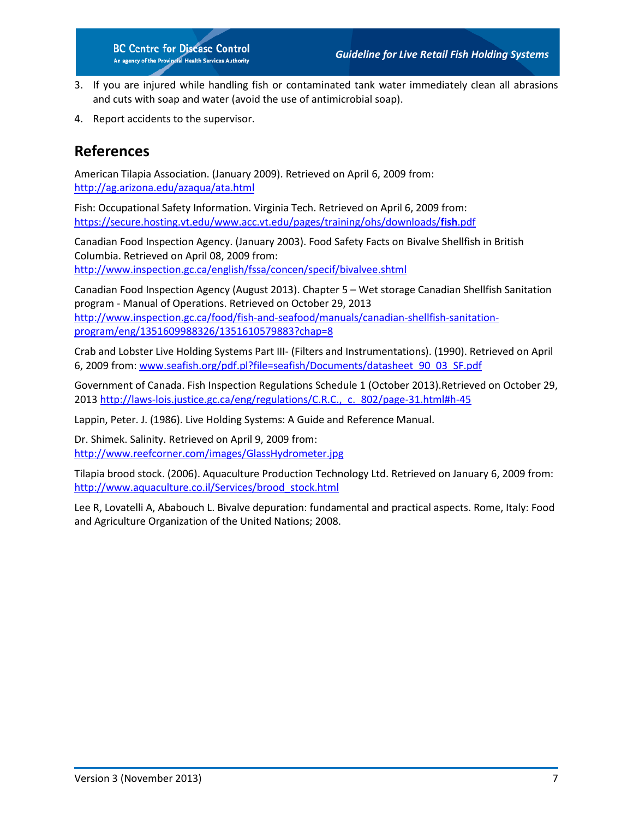- 3. If you are injured while handling fish or contaminated tank water immediately clean all abrasions and cuts with soap and water (avoid the use of antimicrobial soap).
- 4. Report accidents to the supervisor.

## <span id="page-8-0"></span>**References**

American Tilapia Association. (January 2009). Retrieved on April 6, 2009 from: <http://ag.arizona.edu/azaqua/ata.html>

Fish: Occupational Safety Information. Virginia Tech. Retrieved on April 6, 2009 from: [https://secure.hosting.vt.edu/www.acc.vt.edu/pages/training/ohs/downloads/](https://secure.hosting.vt.edu/www.acc.vt.edu/pages/training/ohs/downloads/fish.pdf)**fish**.pdf

Canadian Food Inspection Agency. (January 2003). Food Safety Facts on Bivalve Shellfish in British Columbia. Retrieved on April 08, 2009 from: <http://www.inspection.gc.ca/english/fssa/concen/specif/bivalvee.shtml>

Canadian Food Inspection Agency (August 2013). Chapter 5 – Wet storage Canadian Shellfish Sanitation program - Manual of Operations. Retrieved on October 29, 2013 [http://www.inspection.gc.ca/food/fish-and-seafood/manuals/canadian-shellfish-sanitation](http://www.inspection.gc.ca/food/fish-and-seafood/manuals/canadian-shellfish-sanitation-program/eng/1351609988326/1351610579883?chap=8)[program/eng/1351609988326/1351610579883?chap=8](http://www.inspection.gc.ca/food/fish-and-seafood/manuals/canadian-shellfish-sanitation-program/eng/1351609988326/1351610579883?chap=8)

Crab and Lobster Live Holding Systems Part III- (Filters and Instrumentations). (1990). Retrieved on April 6, 2009 from: [www.seafish.org/pdf.pl?file=seafish/Documents/datasheet\\_90\\_03\\_SF.pdf](http://www.seafish.org/pdf.pl?file=seafish/Documents/datasheet_90_03_SF.pdf)

Government of Canada. Fish Inspection Regulations Schedule 1 (October 2013).Retrieved on October 29, 2013 [http://laws-lois.justice.gc.ca/eng/regulations/C.R.C.,\\_c.\\_802/page-31.html#h-45](http://laws-lois.justice.gc.ca/eng/regulations/C.R.C.,_c._802/page-31.html#h-45) 

Lappin, Peter. J. (1986). Live Holding Systems: A Guide and Reference Manual.

Dr. Shimek. Salinity. Retrieved on April 9, 2009 from: <http://www.reefcorner.com/images/GlassHydrometer.jpg>

Tilapia brood stock. (2006). Aquaculture Production Technology Ltd. Retrieved on January 6, 2009 from: [http://www.aquaculture.co.il/Services/brood\\_stock.html](http://www.aquaculture.co.il/Services/brood_stock.html)

Lee R, Lovatelli A, Ababouch L. Bivalve depuration: fundamental and practical aspects. Rome, Italy: Food and Agriculture Organization of the United Nations; 2008.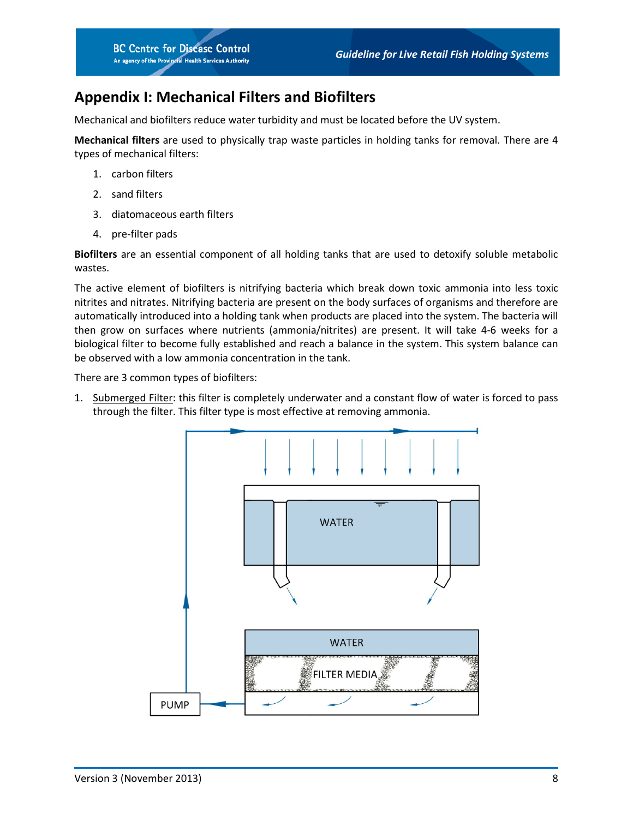## <span id="page-9-0"></span>**Appendix I: Mechanical Filters and Biofilters**

Mechanical and biofilters reduce water turbidity and must be located before the UV system.

**Mechanical filters** are used to physically trap waste particles in holding tanks for removal. There are 4 types of mechanical filters:

- 1. carbon filters
- 2. sand filters
- 3. diatomaceous earth filters
- 4. pre-filter pads

**Biofilters** are an essential component of all holding tanks that are used to detoxify soluble metabolic wastes.

The active element of biofilters is nitrifying bacteria which break down toxic ammonia into less toxic nitrites and nitrates. Nitrifying bacteria are present on the body surfaces of organisms and therefore are automatically introduced into a holding tank when products are placed into the system. The bacteria will then grow on surfaces where nutrients (ammonia/nitrites) are present. It will take 4-6 weeks for a biological filter to become fully established and reach a balance in the system. This system balance can be observed with a low ammonia concentration in the tank.

There are 3 common types of biofilters:

1. Submerged Filter: this filter is completely underwater and a constant flow of water is forced to pass through the filter. This filter type is most effective at removing ammonia.

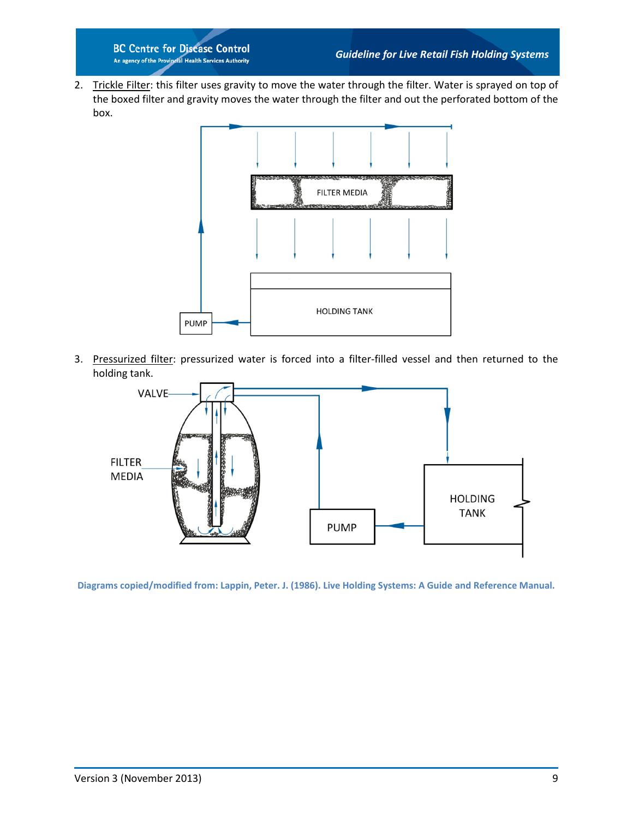**BC Centre for Disease Control** An agency of the Provincial Health Services Authority

2. Trickle Filter: this filter uses gravity to move the water through the filter. Water is sprayed on top of the boxed filter and gravity moves the water through the filter and out the perforated bottom of the box.



3. Pressurized filter: pressurized water is forced into a filter-filled vessel and then returned to the holding tank.



**Diagrams copied/modified from: Lappin, Peter. J. (1986). Live Holding Systems: A Guide and Reference Manual.**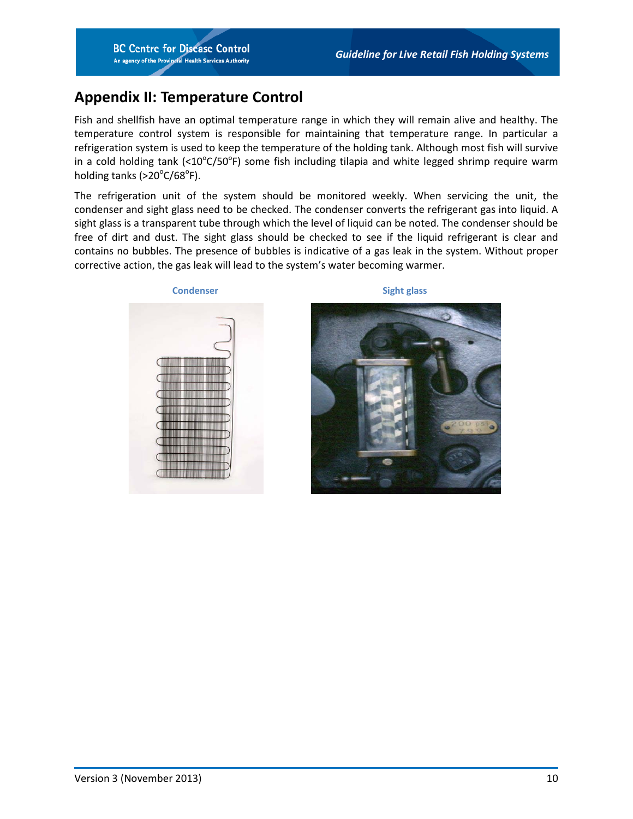# <span id="page-11-0"></span>**Appendix II: Temperature Control**

Fish and shellfish have an optimal temperature range in which they will remain alive and healthy. The temperature control system is responsible for maintaining that temperature range. In particular a refrigeration system is used to keep the temperature of the holding tank. Although most fish will survive in a cold holding tank (< $10^{\circ}$ C/50°F) some fish including tilapia and white legged shrimp require warm holding tanks (>20°C/68°F).

The refrigeration unit of the system should be monitored weekly. When servicing the unit, the condenser and sight glass need to be checked. The condenser converts the refrigerant gas into liquid. A sight glass is a transparent tube through which the level of liquid can be noted. The condenser should be free of dirt and dust. The sight glass should be checked to see if the liquid refrigerant is clear and contains no bubbles. The presence of bubbles is indicative of a gas leak in the system. Without proper corrective action, the gas leak will lead to the system's water becoming warmer.



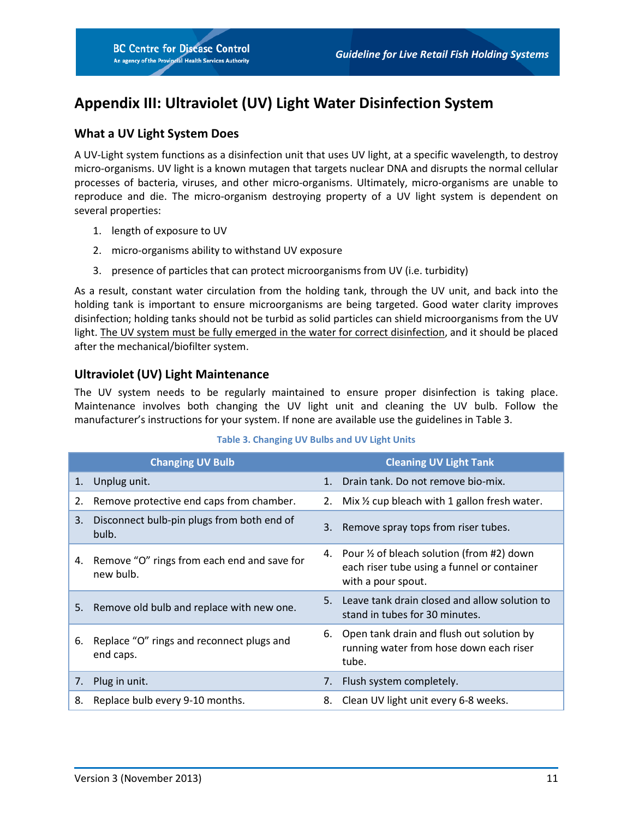# <span id="page-12-0"></span>**Appendix III: Ultraviolet (UV) Light Water Disinfection System**

## **What a UV Light System Does**

A UV-Light system functions as a disinfection unit that uses UV light, at a specific wavelength, to destroy micro-organisms. UV light is a known mutagen that targets nuclear DNA and disrupts the normal cellular processes of bacteria, viruses, and other micro-organisms. Ultimately, micro-organisms are unable to reproduce and die. The micro-organism destroying property of a UV light system is dependent on several properties:

- 1. length of exposure to UV
- 2. micro-organisms ability to withstand UV exposure
- 3. presence of particles that can protect microorganisms from UV (i.e. turbidity)

As a result, constant water circulation from the holding tank, through the UV unit, and back into the holding tank is important to ensure microorganisms are being targeted. Good water clarity improves disinfection; holding tanks should not be turbid as solid particles can shield microorganisms from the UV light. The UV system must be fully emerged in the water for correct disinfection, and it should be placed after the mechanical/biofilter system.

## **Ultraviolet (UV) Light Maintenance**

The UV system needs to be regularly maintained to ensure proper disinfection is taking place. Maintenance involves both changing the UV light unit and cleaning the UV bulb. Follow the manufacturer's instructions for your system. If none are available use the guidelines in Table 3.

<span id="page-12-1"></span>

|    | <b>Changing UV Bulb</b>                                  |         | <b>Cleaning UV Light Tank</b>                                                                                      |
|----|----------------------------------------------------------|---------|--------------------------------------------------------------------------------------------------------------------|
| 1. | Unplug unit.                                             | $1_{-}$ | Drain tank. Do not remove bio-mix.                                                                                 |
| 2. | Remove protective end caps from chamber.                 |         | 2. Mix 1/2 cup bleach with 1 gallon fresh water.                                                                   |
| 3. | Disconnect bulb-pin plugs from both end of<br>bulb.      |         | 3. Remove spray tops from riser tubes.                                                                             |
| 4. | Remove "O" rings from each end and save for<br>new bulb. |         | 4. Pour 1/2 of bleach solution (from #2) down<br>each riser tube using a funnel or container<br>with a pour spout. |
|    | 5. Remove old bulb and replace with new one.             | 5.      | Leave tank drain closed and allow solution to<br>stand in tubes for 30 minutes.                                    |
| 6. | Replace "O" rings and reconnect plugs and<br>end caps.   | 6.      | Open tank drain and flush out solution by<br>running water from hose down each riser<br>tube.                      |
| 7. | Plug in unit.                                            | 7.      | Flush system completely.                                                                                           |
| 8. | Replace bulb every 9-10 months.                          | 8.      | Clean UV light unit every 6-8 weeks.                                                                               |

#### **Table 3. Changing UV Bulbs and UV Light Units**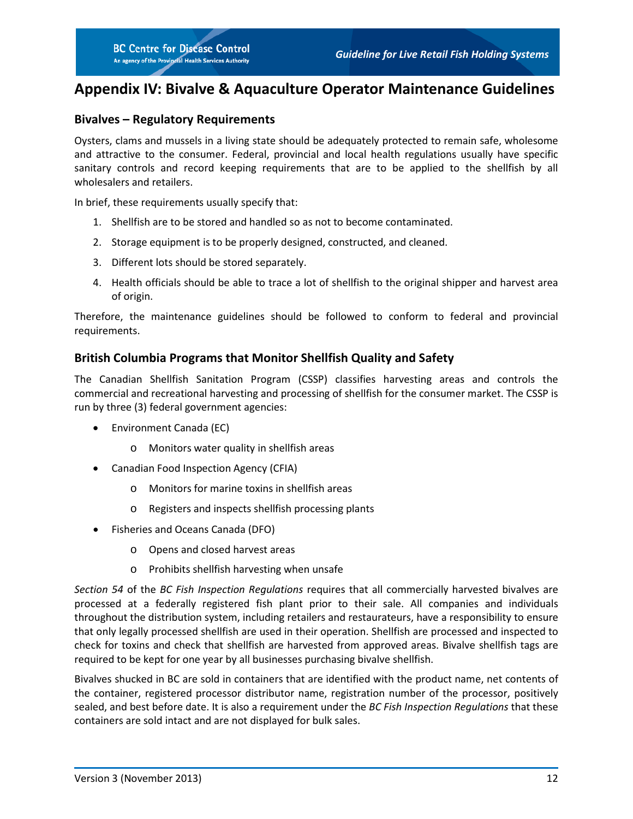# <span id="page-13-0"></span>**Appendix IV: Bivalve & Aquaculture Operator Maintenance Guidelines**

#### **Bivalves – Regulatory Requirements**

Oysters, clams and mussels in a living state should be adequately protected to remain safe, wholesome and attractive to the consumer. Federal, provincial and local health regulations usually have specific sanitary controls and record keeping requirements that are to be applied to the shellfish by all wholesalers and retailers.

In brief, these requirements usually specify that:

- 1. Shellfish are to be stored and handled so as not to become contaminated.
- 2. Storage equipment is to be properly designed, constructed, and cleaned.
- 3. Different lots should be stored separately.
- 4. Health officials should be able to trace a lot of shellfish to the original shipper and harvest area of origin.

Therefore, the maintenance guidelines should be followed to conform to federal and provincial requirements.

#### **British Columbia Programs that Monitor Shellfish Quality and Safety**

The Canadian Shellfish Sanitation Program (CSSP) classifies harvesting areas and controls the commercial and recreational harvesting and processing of shellfish for the consumer market. The CSSP is run by three (3) federal government agencies:

- Environment Canada (EC)
	- o Monitors water quality in shellfish areas
- Canadian Food Inspection Agency (CFIA)
	- o Monitors for marine toxins in shellfish areas
	- o Registers and inspects shellfish processing plants
- Fisheries and Oceans Canada (DFO)
	- o Opens and closed harvest areas
	- o Prohibits shellfish harvesting when unsafe

*Section 54* of the *BC Fish Inspection Regulations* requires that all commercially harvested bivalves are processed at a federally registered fish plant prior to their sale. All companies and individuals throughout the distribution system, including retailers and restaurateurs, have a responsibility to ensure that only legally processed shellfish are used in their operation. Shellfish are processed and inspected to check for toxins and check that shellfish are harvested from approved areas. Bivalve shellfish tags are required to be kept for one year by all businesses purchasing bivalve shellfish.

Bivalves shucked in BC are sold in containers that are identified with the product name, net contents of the container, registered processor distributor name, registration number of the processor, positively sealed, and best before date. It is also a requirement under the *BC Fish Inspection Regulations* that these containers are sold intact and are not displayed for bulk sales.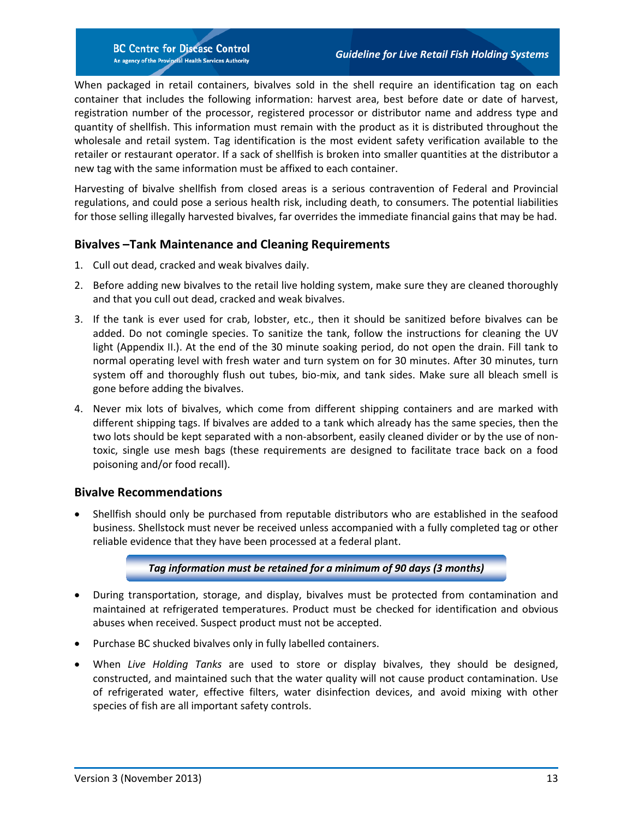**BC Centre for Disease Control** An agency of the Provincial Health Services Authority

When packaged in retail containers, bivalves sold in the shell require an identification tag on each container that includes the following information: harvest area, best before date or date of harvest, registration number of the processor, registered processor or distributor name and address type and quantity of shellfish. This information must remain with the product as it is distributed throughout the wholesale and retail system. Tag identification is the most evident safety verification available to the retailer or restaurant operator. If a sack of shellfish is broken into smaller quantities at the distributor a new tag with the same information must be affixed to each container.

Harvesting of bivalve shellfish from closed areas is a serious contravention of Federal and Provincial regulations, and could pose a serious health risk, including death, to consumers. The potential liabilities for those selling illegally harvested bivalves, far overrides the immediate financial gains that may be had.

#### **Bivalves –Tank Maintenance and Cleaning Requirements**

- 1. Cull out dead, cracked and weak bivalves daily.
- 2. Before adding new bivalves to the retail live holding system, make sure they are cleaned thoroughly and that you cull out dead, cracked and weak bivalves.
- 3. If the tank is ever used for crab, lobster, etc., then it should be sanitized before bivalves can be added. Do not comingle species. To sanitize the tank, follow the instructions for cleaning the UV light (Appendix II.). At the end of the 30 minute soaking period, do not open the drain. Fill tank to normal operating level with fresh water and turn system on for 30 minutes. After 30 minutes, turn system off and thoroughly flush out tubes, bio-mix, and tank sides. Make sure all bleach smell is gone before adding the bivalves.
- 4. Never mix lots of bivalves, which come from different shipping containers and are marked with different shipping tags. If bivalves are added to a tank which already has the same species, then the two lots should be kept separated with a non-absorbent, easily cleaned divider or by the use of nontoxic, single use mesh bags (these requirements are designed to facilitate trace back on a food poisoning and/or food recall).

#### **Bivalve Recommendations**

• Shellfish should only be purchased from reputable distributors who are established in the seafood business. Shellstock must never be received unless accompanied with a fully completed tag or other reliable evidence that they have been processed at a federal plant.

#### *Tag information must be retained for a minimum of 90 days (3 months)*

- During transportation, storage, and display, bivalves must be protected from contamination and maintained at refrigerated temperatures. Product must be checked for identification and obvious abuses when received. Suspect product must not be accepted.
- Purchase BC shucked bivalves only in fully labelled containers.
- When *Live Holding Tanks* are used to store or display bivalves, they should be designed, constructed, and maintained such that the water quality will not cause product contamination. Use of refrigerated water, effective filters, water disinfection devices, and avoid mixing with other species of fish are all important safety controls.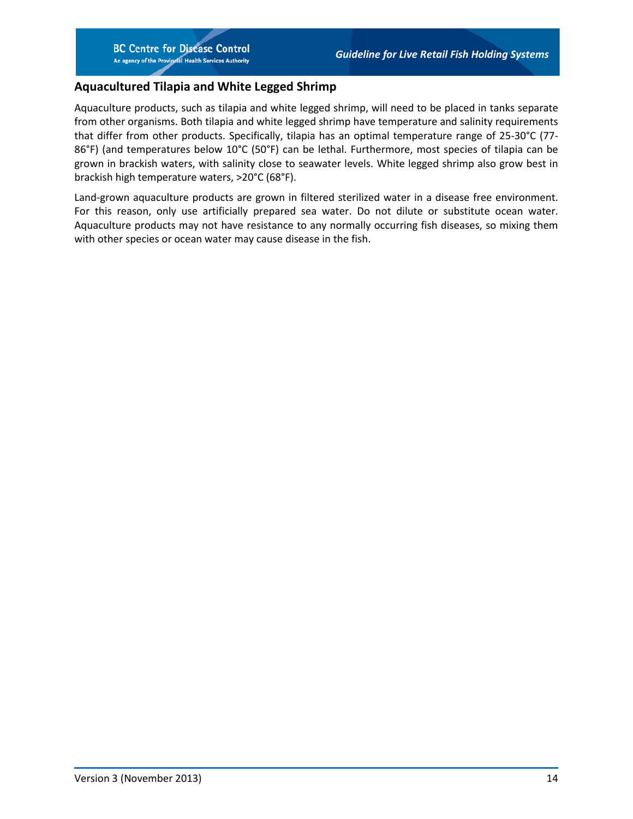### **Aquacultured Tilapia and White Legged Shrimp**

Aquaculture products, such as tilapia and white legged shrimp, will need to be placed in tanks separate from other organisms. Both tilapia and white legged shrimp have temperature and salinity requirements that differ from other products. Specifically, tilapia has an optimal temperature range of 25-30°C (77- 86°F) (and temperatures below 10°C (50°F) can be lethal. Furthermore, most species of tilapia can be grown in brackish waters, with salinity close to seawater levels. White legged shrimp also grow best in brackish high temperature waters, >20°C (68°F).

Land-grown aquaculture products are grown in filtered sterilized water in a disease free environment. For this reason, only use artificially prepared sea water. Do not dilute or substitute ocean water. Aquaculture products may not have resistance to any normally occurring fish diseases, so mixing them with other species or ocean water may cause disease in the fish.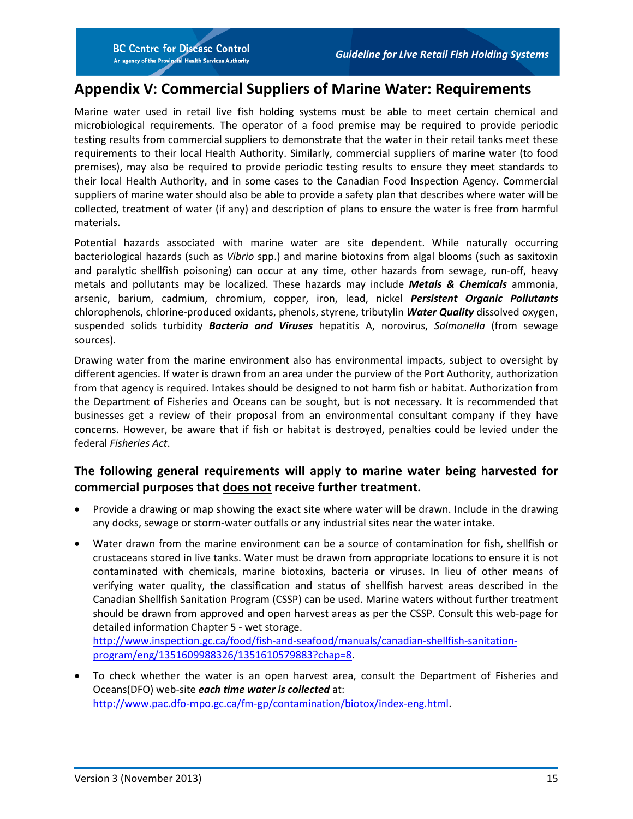## <span id="page-16-0"></span>**Appendix V: Commercial Suppliers of Marine Water: Requirements**

Marine water used in retail live fish holding systems must be able to meet certain chemical and microbiological requirements. The operator of a food premise may be required to provide periodic testing results from commercial suppliers to demonstrate that the water in their retail tanks meet these requirements to their local Health Authority. Similarly, commercial suppliers of marine water (to food premises), may also be required to provide periodic testing results to ensure they meet standards to their local Health Authority, and in some cases to the Canadian Food Inspection Agency. Commercial suppliers of marine water should also be able to provide a safety plan that describes where water will be collected, treatment of water (if any) and description of plans to ensure the water is free from harmful materials.

Potential hazards associated with marine water are site dependent. While naturally occurring bacteriological hazards (such as *Vibrio* spp.) and marine biotoxins from algal blooms (such as saxitoxin and paralytic shellfish poisoning) can occur at any time, other hazards from sewage, run-off, heavy metals and pollutants may be localized. These hazards may include *Metals & Chemicals* ammonia, arsenic, barium, cadmium, chromium, copper, iron, lead, nickel *Persistent Organic Pollutants* chlorophenols, chlorine-produced oxidants, phenols, styrene, tributylin *Water Quality* dissolved oxygen, suspended solids turbidity *Bacteria and Viruses* hepatitis A, norovirus, *Salmonella* (from sewage sources).

Drawing water from the marine environment also has environmental impacts, subject to oversight by different agencies. If water is drawn from an area under the purview of the Port Authority, authorization from that agency is required. Intakes should be designed to not harm fish or habitat. Authorization from the Department of Fisheries and Oceans can be sought, but is not necessary. It is recommended that businesses get a review of their proposal from an environmental consultant company if they have concerns. However, be aware that if fish or habitat is destroyed, penalties could be levied under the federal *Fisheries Act*.

## **The following general requirements will apply to marine water being harvested for commercial purposes that does not receive further treatment.**

- Provide a drawing or map showing the exact site where water will be drawn. Include in the drawing any docks, sewage or storm-water outfalls or any industrial sites near the water intake.
- Water drawn from the marine environment can be a source of contamination for fish, shellfish or crustaceans stored in live tanks. Water must be drawn from appropriate locations to ensure it is not contaminated with chemicals, marine biotoxins, bacteria or viruses. In lieu of other means of verifying water quality, the classification and status of shellfish harvest areas described in the Canadian Shellfish Sanitation Program (CSSP) can be used. Marine waters without further treatment should be drawn from approved and open harvest areas as per the CSSP. Consult this web-page for detailed information Chapter 5 - wet storage.

[http://www.inspection.gc.ca/food/fish-and-seafood/manuals/canadian-shellfish-sanitation](http://www.inspection.gc.ca/food/fish-and-seafood/manuals/canadian-shellfish-sanitation-program/eng/1351609988326/1351610579883?chap=8)[program/eng/1351609988326/1351610579883?chap=8.](http://www.inspection.gc.ca/food/fish-and-seafood/manuals/canadian-shellfish-sanitation-program/eng/1351609988326/1351610579883?chap=8)

• To check whether the water is an open harvest area, consult the Department of Fisheries and Oceans(DFO) web-site *each time water is collected* at: [http://www.pac.dfo-mpo.gc.ca/fm-gp/contamination/biotox/index-eng.html.](http://www.pac.dfo-mpo.gc.ca/fm-gp/contamination/biotox/index-eng.html)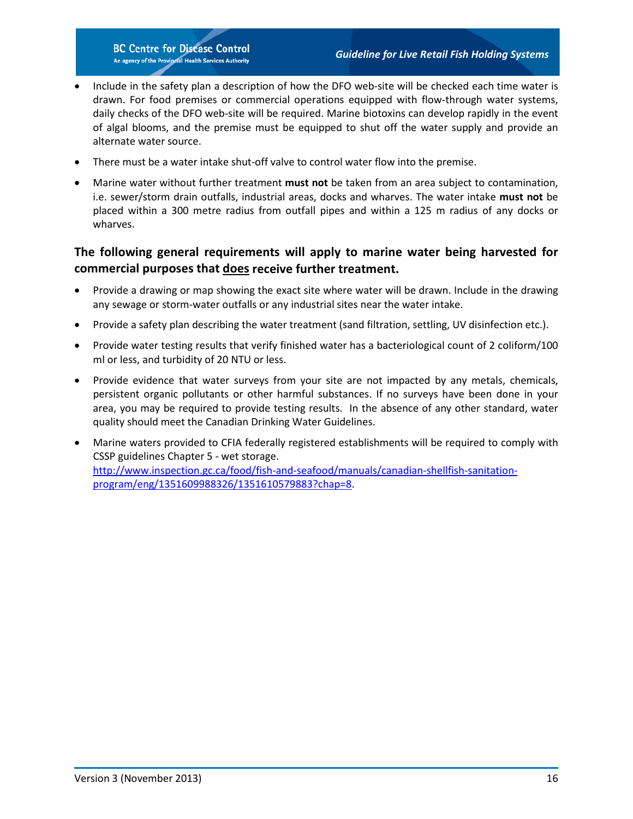**BC Centre for Disease Control** An agency of the Provincial Health Services Authority

- Include in the safety plan a description of how the DFO web-site will be checked each time water is drawn. For food premises or commercial operations equipped with flow-through water systems, daily checks of the DFO web-site will be required. Marine biotoxins can develop rapidly in the event of algal blooms, and the premise must be equipped to shut off the water supply and provide an alternate water source.
- There must be a water intake shut-off valve to control water flow into the premise.
- Marine water without further treatment **must not** be taken from an area subject to contamination, i.e. sewer/storm drain outfalls, industrial areas, docks and wharves. The water intake **must not** be placed within a 300 metre radius from outfall pipes and within a 125 m radius of any docks or wharves.

## **The following general requirements will apply to marine water being harvested for commercial purposes that does receive further treatment.**

- Provide a drawing or map showing the exact site where water will be drawn. Include in the drawing any sewage or storm-water outfalls or any industrial sites near the water intake.
- Provide a safety plan describing the water treatment (sand filtration, settling, UV disinfection etc.).
- Provide water testing results that verify finished water has a bacteriological count of 2 coliform/100 ml or less, and turbidity of 20 NTU or less.
- Provide evidence that water surveys from your site are not impacted by any metals, chemicals, persistent organic pollutants or other harmful substances. If no surveys have been done in your area, you may be required to provide testing results. In the absence of any other standard, water quality should meet the Canadian Drinking Water Guidelines.
- Marine waters provided to CFIA federally registered establishments will be required to comply with CSSP guidelines Chapter 5 - wet storage. [http://www.inspection.gc.ca/food/fish-and-seafood/manuals/canadian-shellfish-sanitation](http://www.inspection.gc.ca/food/fish-and-seafood/manuals/canadian-shellfish-sanitation-program/eng/1351609988326/1351610579883?chap=8)[program/eng/1351609988326/1351610579883?chap=8.](http://www.inspection.gc.ca/food/fish-and-seafood/manuals/canadian-shellfish-sanitation-program/eng/1351609988326/1351610579883?chap=8)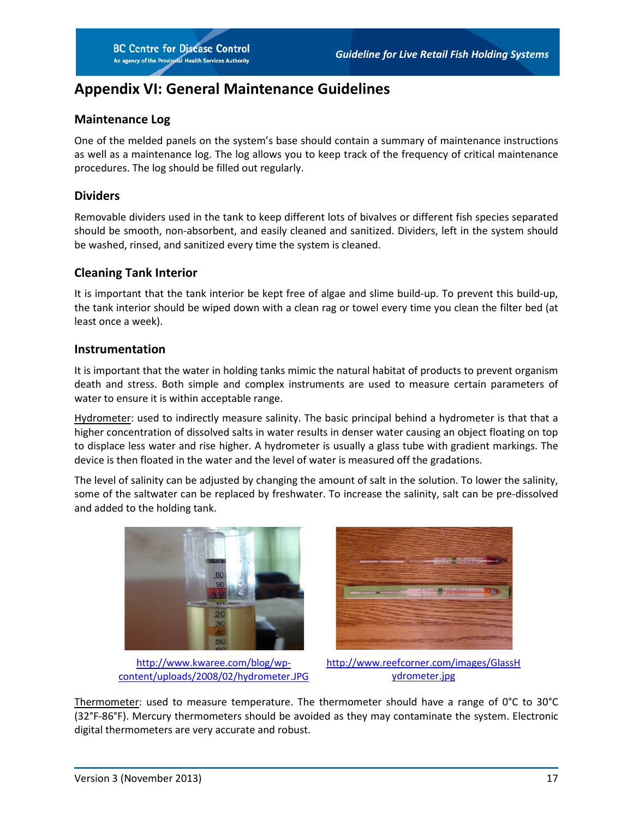# <span id="page-18-0"></span>**Appendix VI: General Maintenance Guidelines**

#### **Maintenance Log**

One of the melded panels on the system's base should contain a summary of maintenance instructions as well as a maintenance log. The log allows you to keep track of the frequency of critical maintenance procedures. The log should be filled out regularly.

#### **Dividers**

Removable dividers used in the tank to keep different lots of bivalves or different fish species separated should be smooth, non-absorbent, and easily cleaned and sanitized. Dividers, left in the system should be washed, rinsed, and sanitized every time the system is cleaned.

#### **Cleaning Tank Interior**

It is important that the tank interior be kept free of algae and slime build-up. To prevent this build-up, the tank interior should be wiped down with a clean rag or towel every time you clean the filter bed (at least once a week).

#### **Instrumentation**

It is important that the water in holding tanks mimic the natural habitat of products to prevent organism death and stress. Both simple and complex instruments are used to measure certain parameters of water to ensure it is within acceptable range.

Hydrometer: used to indirectly measure salinity. The basic principal behind a hydrometer is that that a higher concentration of dissolved salts in water results in denser water causing an object floating on top to displace less water and rise higher. A hydrometer is usually a glass tube with gradient markings. The device is then floated in the water and the level of water is measured off the gradations.

The level of salinity can be adjusted by changing the amount of salt in the solution. To lower the salinity, some of the saltwater can be replaced by freshwater. To increase the salinity, salt can be pre-dissolved and added to the holding tank.



[http://www.kwaree.com/blog/wp](http://www.kwaree.com/blog/wp-content/uploads/2008/02/hydrometer.JPG)[content/uploads/2008/02/hydrometer.JPG](http://www.kwaree.com/blog/wp-content/uploads/2008/02/hydrometer.JPG)



[http://www.reefcorner.com/images/GlassH](http://www.reefcorner.com/images/GlassHydrometer.jpg) [ydrometer.jpg](http://www.reefcorner.com/images/GlassHydrometer.jpg)

Thermometer: used to measure temperature. The thermometer should have a range of 0°C to 30°C (32°F-86°F). Mercury thermometers should be avoided as they may contaminate the system. Electronic digital thermometers are very accurate and robust.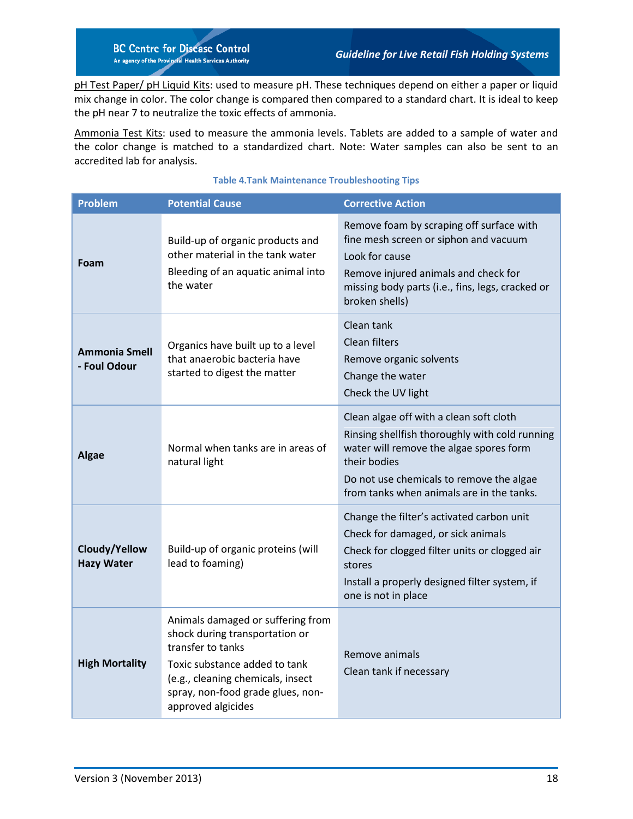pH Test Paper/ pH Liquid Kits: used to measure pH. These techniques depend on either a paper or liquid mix change in color. The color change is compared then compared to a standard chart. It is ideal to keep the pH near 7 to neutralize the toxic effects of ammonia.

Ammonia Test Kits: used to measure the ammonia levels. Tablets are added to a sample of water and the color change is matched to a standardized chart. Note: Water samples can also be sent to an accredited lab for analysis.

<span id="page-19-0"></span>

| <b>Problem</b>                       | <b>Potential Cause</b>                                                                                                                                                                                                    | <b>Corrective Action</b>                                                                                                                                                                                                                      |
|--------------------------------------|---------------------------------------------------------------------------------------------------------------------------------------------------------------------------------------------------------------------------|-----------------------------------------------------------------------------------------------------------------------------------------------------------------------------------------------------------------------------------------------|
| Foam                                 | Build-up of organic products and<br>other material in the tank water<br>Bleeding of an aquatic animal into<br>the water                                                                                                   | Remove foam by scraping off surface with<br>fine mesh screen or siphon and vacuum<br>Look for cause<br>Remove injured animals and check for<br>missing body parts (i.e., fins, legs, cracked or<br>broken shells)                             |
| <b>Ammonia Smell</b><br>- Foul Odour | Organics have built up to a level<br>that anaerobic bacteria have<br>started to digest the matter                                                                                                                         | Clean tank<br><b>Clean filters</b><br>Remove organic solvents<br>Change the water<br>Check the UV light                                                                                                                                       |
| <b>Algae</b>                         | Normal when tanks are in areas of<br>natural light                                                                                                                                                                        | Clean algae off with a clean soft cloth<br>Rinsing shellfish thoroughly with cold running<br>water will remove the algae spores form<br>their bodies<br>Do not use chemicals to remove the algae<br>from tanks when animals are in the tanks. |
| Cloudy/Yellow<br><b>Hazy Water</b>   | Build-up of organic proteins (will<br>lead to foaming)                                                                                                                                                                    | Change the filter's activated carbon unit<br>Check for damaged, or sick animals<br>Check for clogged filter units or clogged air<br>stores<br>Install a properly designed filter system, if<br>one is not in place                            |
| <b>High Mortality</b>                | Animals damaged or suffering from<br>shock during transportation or<br>transfer to tanks<br>Toxic substance added to tank<br>(e.g., cleaning chemicals, insect<br>spray, non-food grade glues, non-<br>approved algicides | Remove animals<br>Clean tank if necessary                                                                                                                                                                                                     |

#### **Table 4.Tank Maintenance Troubleshooting Tips**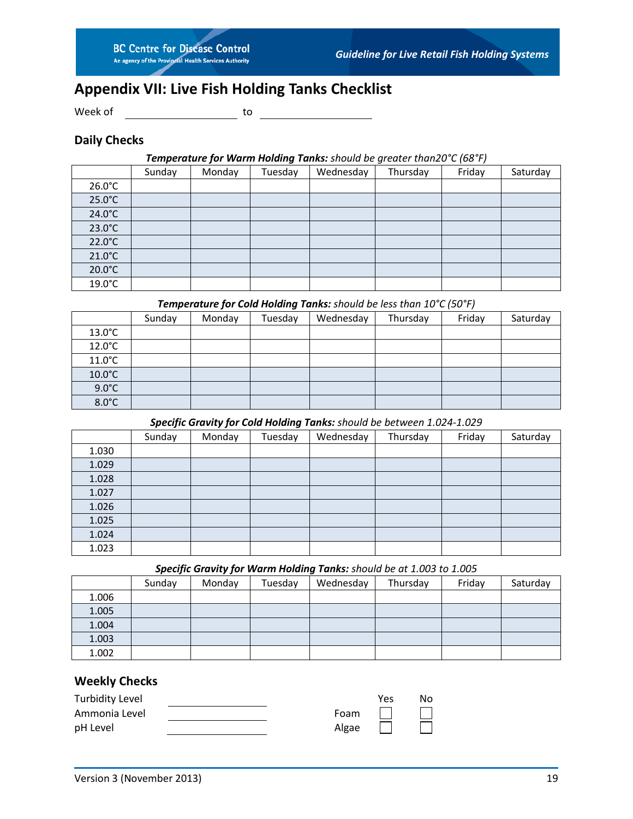# <span id="page-20-0"></span>**Appendix VII: Live Fish Holding Tanks Checklist**

Week of <u>\_\_\_\_\_\_\_\_\_\_\_\_\_\_\_\_\_\_\_\_\_\_\_\_</u> to

## **Daily Checks**

#### *Temperature for Warm Holding Tanks: should be greater than20°C (68°F)*

|                  | Sunday | Monday | Tuesday | Wednesday | Thursday | Friday | Saturday |
|------------------|--------|--------|---------|-----------|----------|--------|----------|
| $26.0^{\circ}$ C |        |        |         |           |          |        |          |
| $25.0^{\circ}$ C |        |        |         |           |          |        |          |
| $24.0^{\circ}$ C |        |        |         |           |          |        |          |
| $23.0^{\circ}$ C |        |        |         |           |          |        |          |
| $22.0^{\circ}$ C |        |        |         |           |          |        |          |
| $21.0^{\circ}$ C |        |        |         |           |          |        |          |
| $20.0^{\circ}$ C |        |        |         |           |          |        |          |
| $19.0^{\circ}$ C |        |        |         |           |          |        |          |

#### *Temperature for Cold Holding Tanks: should be less than 10°C (50°F)*

|                  | Sunday | Monday | Tuesday | Wednesday | Thursday | Friday | Saturday |
|------------------|--------|--------|---------|-----------|----------|--------|----------|
| $13.0^{\circ}$ C |        |        |         |           |          |        |          |
| $12.0^{\circ}$ C |        |        |         |           |          |        |          |
| $11.0^{\circ}$ C |        |        |         |           |          |        |          |
| $10.0^{\circ}$ C |        |        |         |           |          |        |          |
| $9.0^{\circ}$ C  |        |        |         |           |          |        |          |
| $8.0^{\circ}$ C  |        |        |         |           |          |        |          |

## *Specific Gravity for Cold Holding Tanks: should be between 1.024-1.029*

|       | Sunday | Monday | Tuesday | Wednesday | Thursday | Friday | Saturday |
|-------|--------|--------|---------|-----------|----------|--------|----------|
| 1.030 |        |        |         |           |          |        |          |
| 1.029 |        |        |         |           |          |        |          |
| 1.028 |        |        |         |           |          |        |          |
| 1.027 |        |        |         |           |          |        |          |
| 1.026 |        |        |         |           |          |        |          |
| 1.025 |        |        |         |           |          |        |          |
| 1.024 |        |        |         |           |          |        |          |
| 1.023 |        |        |         |           |          |        |          |

#### *Specific Gravity for Warm Holding Tanks: should be at 1.003 to 1.005*

|       | Sunday | Monday | Tuesday | Wednesday | Thursday | Friday | Saturday |
|-------|--------|--------|---------|-----------|----------|--------|----------|
| 1.006 |        |        |         |           |          |        |          |
| 1.005 |        |        |         |           |          |        |          |
| 1.004 |        |        |         |           |          |        |          |
| 1.003 |        |        |         |           |          |        |          |
| 1.002 |        |        |         |           |          |        |          |

## **Weekly Checks**

| <b>Turbidity Level</b> |       | Yes | No |
|------------------------|-------|-----|----|
| Ammonia Level          | Foam  |     |    |
| pH Level               | Algae |     |    |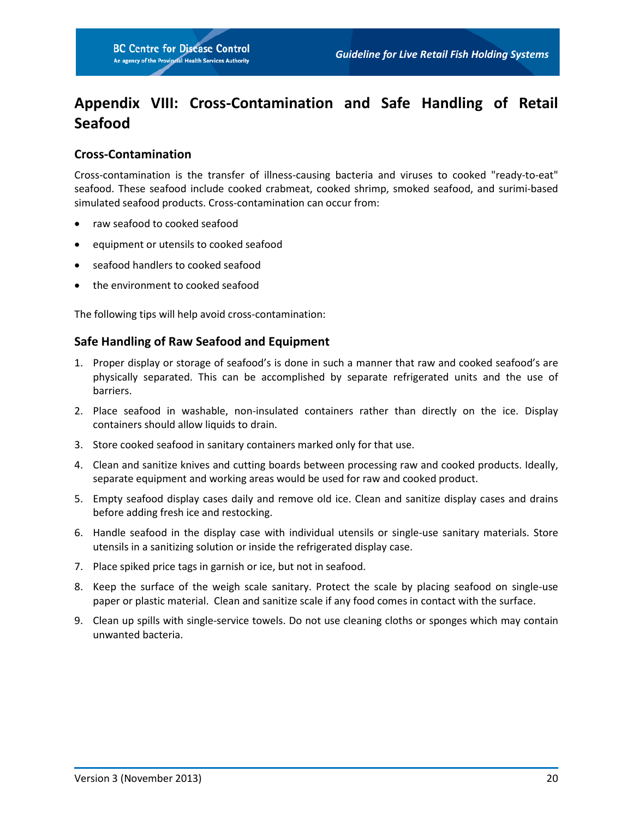# <span id="page-21-0"></span>**Appendix VIII: Cross-Contamination and Safe Handling of Retail Seafood**

## **Cross-Contamination**

Cross-contamination is the transfer of illness-causing bacteria and viruses to cooked "ready-to-eat" seafood. These seafood include cooked crabmeat, cooked shrimp, smoked seafood, and surimi-based simulated seafood products. Cross-contamination can occur from:

- raw seafood to cooked seafood
- equipment or utensils to cooked seafood
- seafood handlers to cooked seafood
- the environment to cooked seafood

The following tips will help avoid cross-contamination:

#### **Safe Handling of Raw Seafood and Equipment**

- 1. Proper display or storage of seafood's is done in such a manner that raw and cooked seafood's are physically separated. This can be accomplished by separate refrigerated units and the use of barriers.
- 2. Place seafood in washable, non-insulated containers rather than directly on the ice. Display containers should allow liquids to drain.
- 3. Store cooked seafood in sanitary containers marked only for that use.
- 4. Clean and sanitize knives and cutting boards between processing raw and cooked products. Ideally, separate equipment and working areas would be used for raw and cooked product.
- 5. Empty seafood display cases daily and remove old ice. Clean and sanitize display cases and drains before adding fresh ice and restocking.
- 6. Handle seafood in the display case with individual utensils or single-use sanitary materials. Store utensils in a sanitizing solution or inside the refrigerated display case.
- 7. Place spiked price tags in garnish or ice, but not in seafood.
- 8. Keep the surface of the weigh scale sanitary. Protect the scale by placing seafood on single-use paper or plastic material. Clean and sanitize scale if any food comes in contact with the surface.
- 9. Clean up spills with single-service towels. Do not use cleaning cloths or sponges which may contain unwanted bacteria.